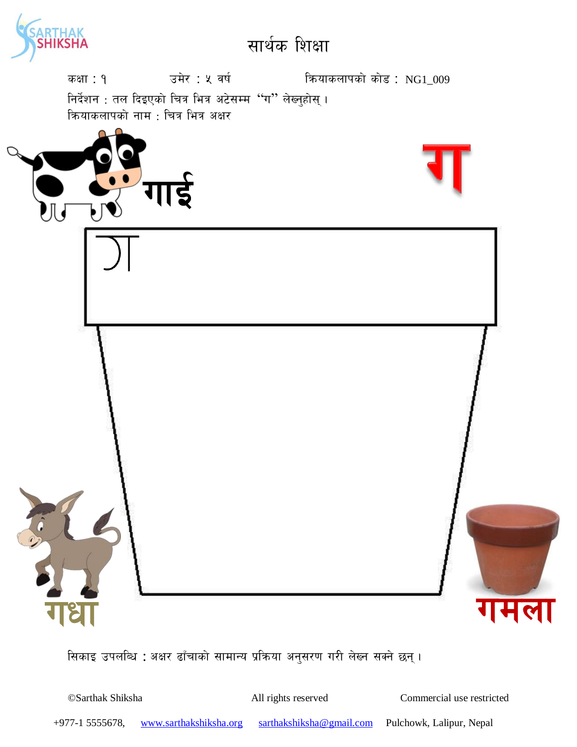



सिकाइ उपलब्धि : अक्षर ढाँचाको सामान्य प्रक्रिया अनुसरण गरी लेख्न सक्ने छन्।

©Sarthak Shiksha All rights reserved Commercial use restricted

+977-1 5555678, www.sarthakshiksha.org sarthakshiksha@gmail.com Pulchowk, Lalipur, Nepal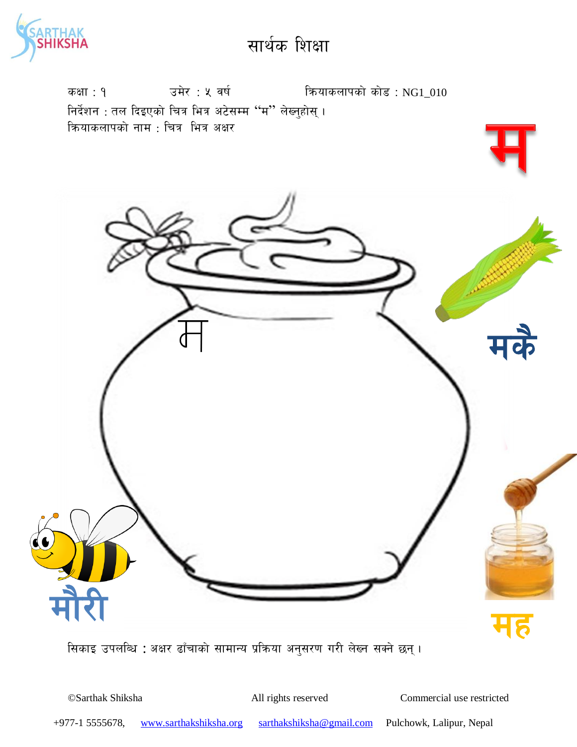



सिकाइ उपलब्धि : अक्षर ढाँचाको सामान्य प्रक्रिया अनुसरण गरी लेख्न सक्ने छन्।

©Sarthak Shiksha All rights reserved Commercial use restricted

+977-1 5555678, www.sarthakshiksha.org sarthakshiksha@gmail.com Pulchowk, Lalipur, Nepal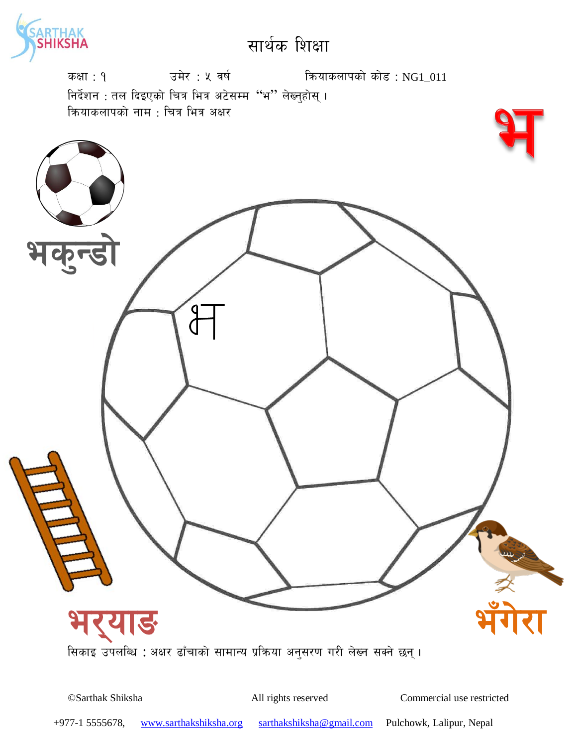



©Sarthak Shiksha All rights reserved Commercial use restricted

+977-1 5555678, www.sarthakshiksha.org sarthakshiksha@gmail.com Pulchowk, Lalipur, Nepal